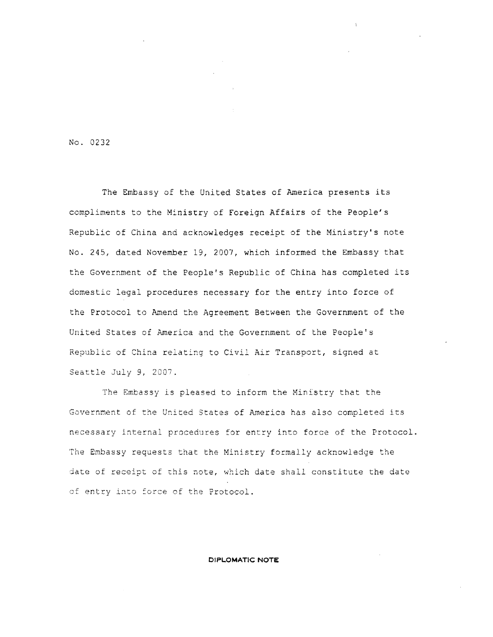No. 0232

The Embassy of the United States of America presents its compliments to the Ministry of Foreign Affairs of the People's Republic of China and acknowledges receipt of the Ministry's note No. 245, dated November 19, 2007, which informed the Embassy that the Government of the People's Republic of China has completed its domestic legal procedures necessary for the entry into force of the Protocol to Amend the Agreement Between the Government of the United States of America and the Government of the People's Republic of China relating to Civil Air Transport, signed at Seattle July 9, 2007.

The Embassy is pleased to inform the Ministry that the Government of the United States of America has also completed its necessary internal procedures for entry into force of the Protocol. The Embassy requests that the Ministry formally acknowledge the date of receipt of this note, which date shall constitute the date of entry into force of the Protocol.

## **DIPLOMATIC NOTE**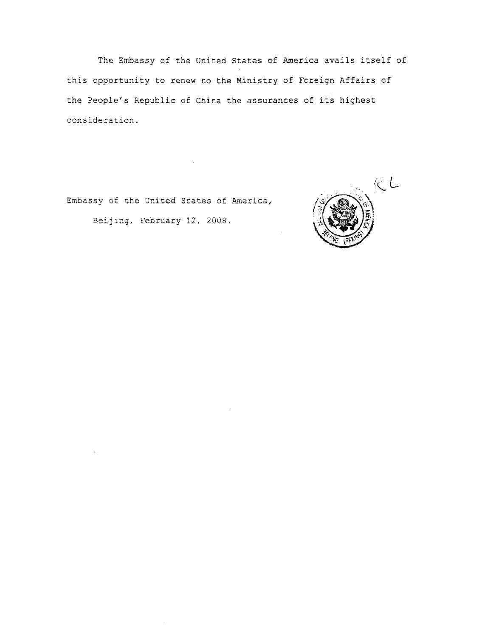The Embassy of the United States of America avails itself of this opportunity to renew to the Ministry of Foreign Affairs of the People's Republic of China the assurances of its highest consideration.

Embassy of the United States of America,

Beijing, February 12, 2008.